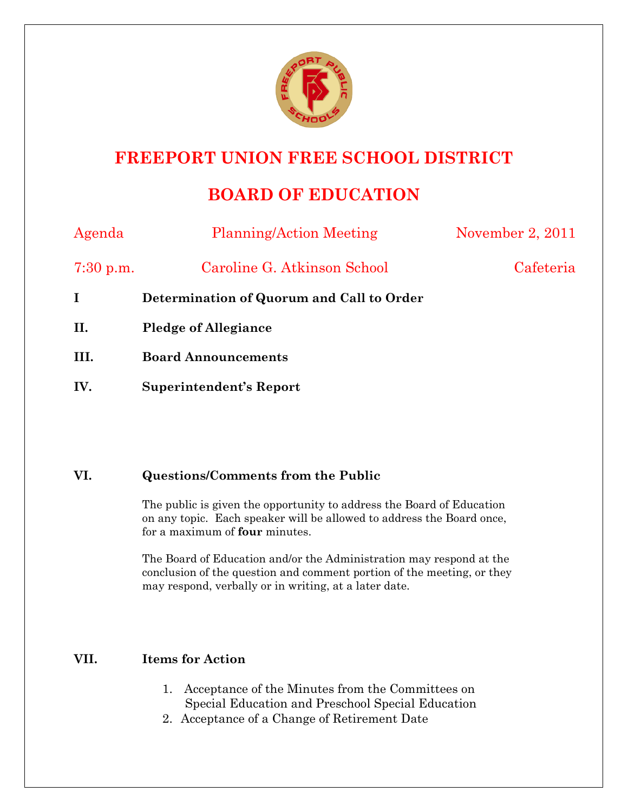

## **FREEPORT UNION FREE SCHOOL DISTRICT**

## **BOARD OF EDUCATION**

| Agenda      | <b>Planning/Action Meeting</b>            | November 2, 2011 |
|-------------|-------------------------------------------|------------------|
| $7:30$ p.m. | Caroline G. Atkinson School               | Cafeteria        |
| I           | Determination of Quorum and Call to Order |                  |
| II.         | <b>Pledge of Allegiance</b>               |                  |
| III.        | <b>Board Announcements</b>                |                  |
| IV.         | Superintendent's Report                   |                  |

## **VI. Questions/Comments from the Public**

The public is given the opportunity to address the Board of Education on any topic. Each speaker will be allowed to address the Board once, for a maximum of **four** minutes.

The Board of Education and/or the Administration may respond at the conclusion of the question and comment portion of the meeting, or they may respond, verbally or in writing, at a later date.

## **VII. Items for Action**

- 1. Acceptance of the Minutes from the Committees on Special Education and Preschool Special Education
- 2. Acceptance of a Change of Retirement Date